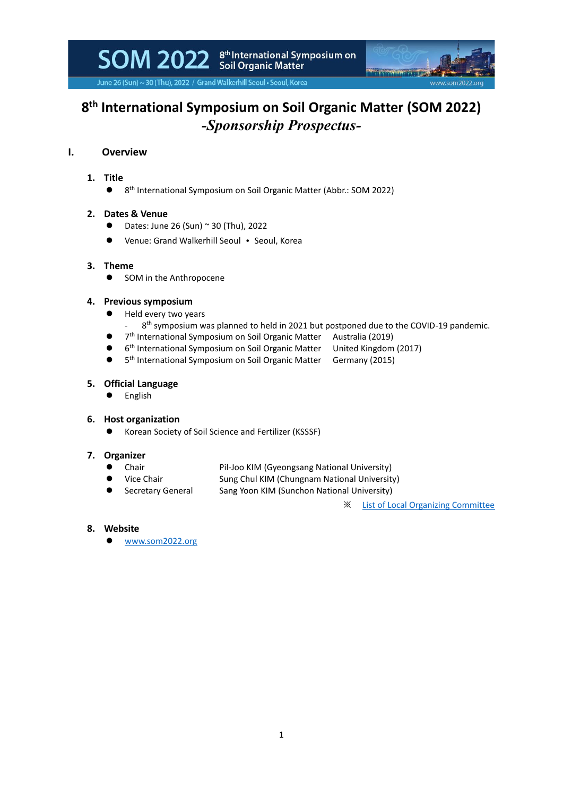SOM 2022 Stil Organic Matter<br>Soil Organic Matter



June 26 (Sun) ~ 30 (Thu), 2022 / Grand Walkerhill Seoul . Seoul, Korea

## **8 th International Symposium on Soil Organic Matter (SOM 2022)** *-Sponsorship Prospectus-*

## **I. Overview**

## **1. Title**

 $\bullet$ 8<sup>th</sup> International Symposium on Soil Organic Matter (Abbr.: SOM 2022)

## **2. Dates & Venue**

- $\bullet$  Dates: June 26 (Sun) ~ 30 (Thu), 2022
- ⚫ Venue: Grand Walkerhill Seoul Seoul, Korea

## **3. Theme**

 $\bullet$ 

● SOM in the Anthropocene

### **4. Previous symposium**

- ⚫ Held every two years
	- 8<sup>th</sup> symposium was planned to held in 2021 but postponed due to the COVID-19 pandemic.
- 7<sup>th</sup> International Symposium on Soil Organic Matter Australia (2019)
	- 6<sup>th</sup> International Symposium on Soil Organic Matter United Kingdom (2017)
- $\bullet$ 5<sup>th</sup> International Symposium on Soil Organic Matter Germany (2015)

### **5. Official Language**

⚫ English

#### **6. Host organization**

⚫ Korean Society of Soil Science and Fertilizer (KSSSF)

## **7. Organizer**

- Chair Pil-Joo KIM (Gyeongsang National University)
	- Vice Chair Sung Chul KIM (Chungnam National University)
- Secretary General Sang Yoon KIM (Sunchon National University)
	- ※ [List](https://www.som2022.org/organizing-committee) of Local Organizing Committee

- **8. Website**
	- [www.som2022.org](http://www.som2022.org/)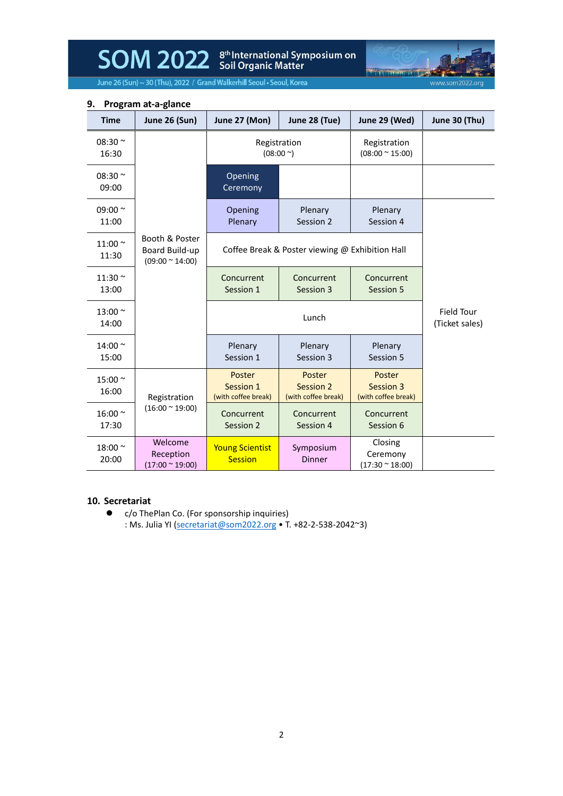SOM 2022 Stil Drganic Matter<br>Soil Organic Matter

**Management** www.som2022.org

June 26 (Sun) ~ 30 (Thu), 2022 / Grand Walkerhill Seoul • Seoul, Korea

| <b>Time</b>           | <b>June 26 (Sun)</b>                                       | June 27 (Mon)                              | June 28 (Tue)                                   | June 29 (Wed)                                  | June 30 (Thu)                       |
|-----------------------|------------------------------------------------------------|--------------------------------------------|-------------------------------------------------|------------------------------------------------|-------------------------------------|
| 08:30 $\sim$<br>16:30 |                                                            |                                            | Registration<br>$(08:00^{\circ})$               | Registration<br>$(08:00 \times 15:00)$         |                                     |
| 08:30 $\sim$<br>09:00 |                                                            | Opening<br>Ceremony                        |                                                 |                                                |                                     |
| 09:00 $\sim$<br>11:00 |                                                            | Opening<br>Plenary                         | Plenary<br>Session 2                            | Plenary<br>Session 4                           |                                     |
| 11:00 $\sim$<br>11:30 | Booth & Poster<br>Board Build-up<br>$(09:00 \times 14:00)$ |                                            | Coffee Break & Poster viewing @ Exhibition Hall |                                                |                                     |
| 11:30 $\sim$<br>13:00 |                                                            | Concurrent<br>Session 1                    | Concurrent<br>Session 3                         | Concurrent<br>Session 5                        |                                     |
| 13:00 ~<br>14:00      |                                                            |                                            | Lunch                                           |                                                | <b>Field Tour</b><br>(Ticket sales) |
| 14:00 $\sim$<br>15:00 |                                                            | Plenary<br>Session 1                       | Plenary<br>Session 3                            | Plenary<br>Session 5                           |                                     |
| 15:00 ~<br>16:00      | Registration                                               | Poster<br>Session 1<br>(with coffee break) | Poster<br>Session 2<br>(with coffee break)      | Poster<br>Session 3<br>(with coffee break)     |                                     |
| 16:00 ~<br>17:30      | $(16:00 \times 19:00)$                                     | Concurrent<br>Session 2                    | Concurrent<br>Session 4                         | Concurrent<br>Session 6                        |                                     |
| 18:00 ~<br>20:00      | Welcome<br>Reception<br>$(17:00 \times 19:00)$             | <b>Young Scientist</b><br><b>Session</b>   | Symposium<br><b>Dinner</b>                      | Closing<br>Ceremony<br>$(17:30 \approx 18:00)$ |                                     |

## **9. Program at-a-glance**

## **10. Secretariat**

● c/o ThePlan Co. (For sponsorship inquiries) : Ms. Julia YI [\(secretariat@som2022.org](mailto:secretariat@som2022.org) • T. +82-2-538-2042~3)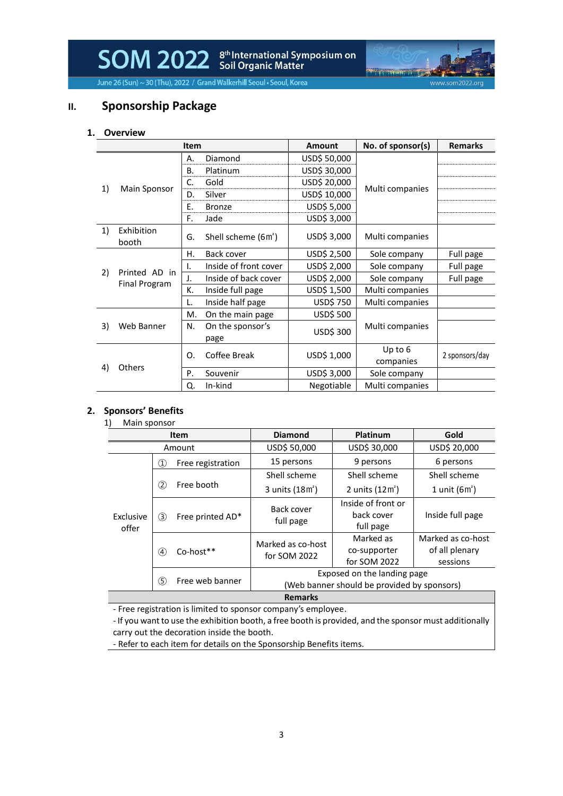SOM 2022 Scil Organic Matter

में में से दे

www.som2022.or

June 26 (Sun) ~ 30 (Thu), 2022 / Grand Walkerhill Seoul • Seoul, Korea

## **II. Sponsorship Package**

#### **1. Overview**

| <b>Item</b>      |                      |    |                                 | Amount       | No. of sponsor(s)    | <b>Remarks</b> |
|------------------|----------------------|----|---------------------------------|--------------|----------------------|----------------|
|                  |                      | Α. | Diamond                         | USD\$ 50,000 |                      |                |
|                  |                      | В. | Platinum                        | USD\$ 30,000 |                      |                |
|                  |                      | C. | Gold                            | USD\$ 20,000 |                      |                |
| 1)               | Main Sponsor         | D. | Silver                          | USD\$ 10,000 | Multi companies      |                |
|                  |                      | Ε. | <b>Bronze</b>                   | USD\$ 5,000  |                      |                |
|                  |                      | F. | Jade                            | USD\$ 3,000  |                      |                |
| 1)               | Exhibition<br>booth  | G. | Shell scheme (6m <sup>2</sup> ) | USD\$ 3,000  | Multi companies      |                |
|                  |                      | Н. | Back cover                      | USD\$ 2,500  | Sole company         | Full page      |
|                  | Printed AD in        | Ι. | Inside of front cover           | USD\$ 2,000  | Sole company         | Full page      |
| 2)               | <b>Final Program</b> | J. | Inside of back cover            | USD\$ 2,000  | Sole company         | Full page      |
|                  |                      | К. | Inside full page                | USD\$ 1,500  | Multi companies      |                |
|                  |                      |    | Inside half page                | USD\$ 750    | Multi companies      |                |
|                  |                      | М. | On the main page                | USD\$ 500    |                      |                |
| Web Banner<br>3) |                      | N. | On the sponsor's<br>page        | USD\$ 300    | Multi companies      |                |
|                  |                      | O. | Coffee Break                    | USD\$ 1,000  | Up to 6<br>companies | 2 sponsors/day |
| 4)               | <b>Others</b>        | P. | Souvenir                        | USD\$ 3,000  | Sole company         |                |
|                  |                      | Q. | In-kind                         | Negotiable   | Multi companies      |                |

#### **2. Sponsors' Benefits**

|                    |                            | Item              | <b>Diamond</b>                                                             | <b>Platinum</b>                               | Gold                                            |
|--------------------|----------------------------|-------------------|----------------------------------------------------------------------------|-----------------------------------------------|-------------------------------------------------|
|                    |                            | Amount            | USD\$ 50,000                                                               | USD\$ 30,000                                  | USD\$ 20,000                                    |
|                    | $\circled{1}$              | Free registration | 15 persons                                                                 | 9 persons                                     | 6 persons                                       |
| Exclusive<br>offer |                            |                   | Shell scheme                                                               | Shell scheme                                  | Shell scheme                                    |
|                    | (2)                        | Free booth        | 3 units (18m <sup>2</sup> )                                                | 2 units $(12m^2)$                             | 1 unit $(6m^2)$                                 |
|                    | $\circled{3}$              | Free printed AD*  | Back cover<br>full page                                                    | Inside of front or<br>back cover<br>full page | Inside full page                                |
|                    | $\left( 4\right)$          | Co-host**         | Marked as co-host<br>for SOM 2022                                          | Marked as<br>co-supporter<br>for SOM 2022     | Marked as co-host<br>of all plenary<br>sessions |
|                    | $\circ$<br>Free web banner |                   | Exposed on the landing page<br>(Web banner should be provided by sponsors) |                                               |                                                 |

- Free registration is limited to sponsor company's employee.

- If you want to use the exhibition booth, a free booth is provided, and the sponsor must additionally carry out the decoration inside the booth.

- Refer to each item for details on the Sponsorship Benefits items.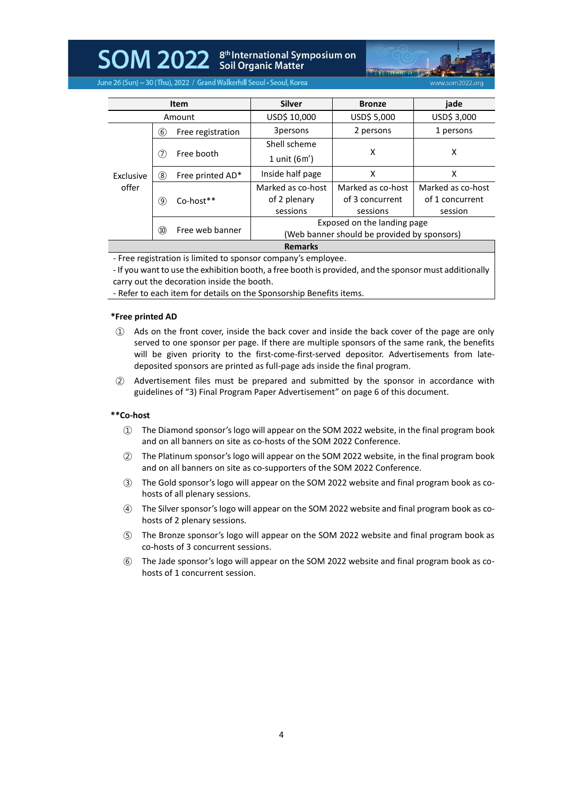SOM 2022 Stil Organic Matter<br>Soil Organic Matter



June 26 (Sun) ~ 30 (Thu), 2022 / Grand Walkerhill Seoul • Seoul, Korea

|                    |      | <b>Item</b>       | <b>Silver</b>                               | <b>Bronze</b>     | jade              |
|--------------------|------|-------------------|---------------------------------------------|-------------------|-------------------|
| Amount             |      | USD\$ 10,000      | USD\$ 5,000                                 | USD\$ 3,000       |                   |
|                    | (6)  | Free registration | 3persons                                    | 2 persons         | 1 persons         |
|                    |      |                   | Shell scheme                                |                   |                   |
| Exclusive<br>offer | (7)  | Free booth        | 1 unit $(6m^2)$                             | X                 | x                 |
|                    | (8)  | Free printed AD*  | Inside half page                            | X                 | x                 |
|                    |      |                   | Marked as co-host                           | Marked as co-host | Marked as co-host |
|                    | (9)  | $Co$ -host $**$   | of 2 plenary                                | of 3 concurrent   | of 1 concurrent   |
|                    |      |                   | sessions                                    | sessions          | session           |
|                    |      |                   | Exposed on the landing page                 |                   |                   |
|                    | (10) | Free web banner   | (Web banner should be provided by sponsors) |                   |                   |
| <b>Remarks</b>     |      |                   |                                             |                   |                   |

- Free registration is limited to sponsor company's employee.

- If you want to use the exhibition booth, a free booth is provided, and the sponsor must additionally carry out the decoration inside the booth.

- Refer to each item for details on the Sponsorship Benefits items.

#### **\*Free printed AD**

- ① Ads on the front cover, inside the back cover and inside the back cover of the page are only served to one sponsor per page. If there are multiple sponsors of the same rank, the benefits will be given priority to the first-come-first-served depositor. Advertisements from latedeposited sponsors are printed as full-page ads inside the final program.
- ② Advertisement files must be prepared and submitted by the sponsor in accordance with guidelines of "3) Final Program Paper Advertisement" on page 6 of this document.

#### **\*\*Co-host**

- ① The Diamond sponsor's logo will appear on the SOM 2022 website, in the final program book and on all banners on site as co-hosts of the SOM 2022 Conference.
- ② The Platinum sponsor's logo will appear on the SOM 2022 website, in the final program book and on all banners on site as co-supporters of the SOM 2022 Conference.
- ③ The Gold sponsor's logo will appear on the SOM 2022 website and final program book as cohosts of all plenary sessions.
- ④ The Silver sponsor's logo will appear on the SOM 2022 website and final program book as cohosts of 2 plenary sessions.
- ⑤ The Bronze sponsor's logo will appear on the SOM 2022 website and final program book as co-hosts of 3 concurrent sessions.
- ⑥ The Jade sponsor's logo will appear on the SOM 2022 website and final program book as cohosts of 1 concurrent session.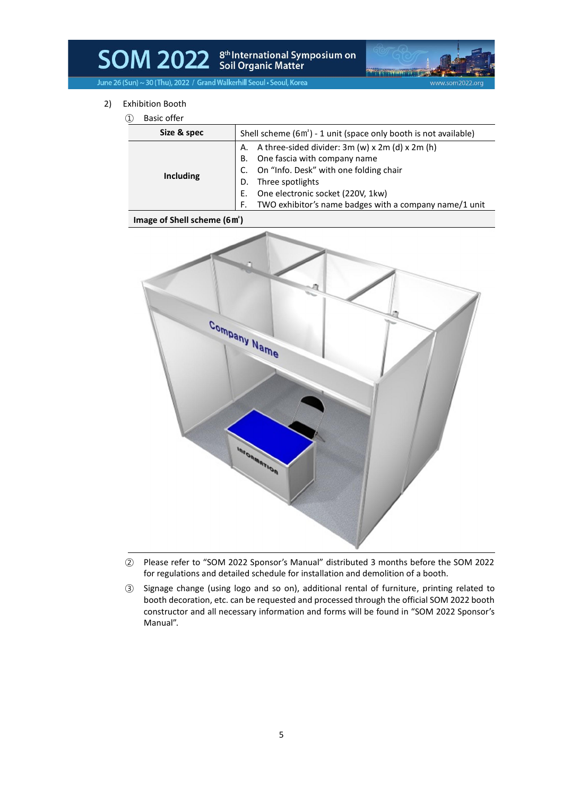## SOM 2022 Stil Drganic Matter<br>Soil Organic Matter

www.som2022.org

June 26 (Sun) ~ 30 (Thu), 2022 / Grand Walkerhill Seoul . Seoul, Korea

- 2) Exhibition Booth
	- ① Basic offer

| DASIL UITEI        |                                                                                                                                                                                                                                                                                  |  |
|--------------------|----------------------------------------------------------------------------------------------------------------------------------------------------------------------------------------------------------------------------------------------------------------------------------|--|
| Size & spec        | Shell scheme (6m <sup>2</sup> ) - 1 unit (space only booth is not available)                                                                                                                                                                                                     |  |
| Including          | A. A three-sided divider: $3m(w) \times 2m(d) \times 2m(h)$<br>One fascia with company name<br>В.<br>C. On "Info. Desk" with one folding chair<br>Three spotlights<br>D.<br>E. One electronic socket (220V, 1kw)<br>TWO exhibitor's name badges with a company name/1 unit<br>F. |  |
| $\sim$ $\sim$<br>. |                                                                                                                                                                                                                                                                                  |  |

#### **Image of Shell scheme (6㎡)**



- ② Please refer to "SOM 2022 Sponsor's Manual" distributed 3 months before the SOM 2022 for regulations and detailed schedule for installation and demolition of a booth.
- ③ Signage change (using logo and so on), additional rental of furniture, printing related to booth decoration, etc. can be requested and processed through the official SOM 2022 booth constructor and all necessary information and forms will be found in "SOM 2022 Sponsor's Manual".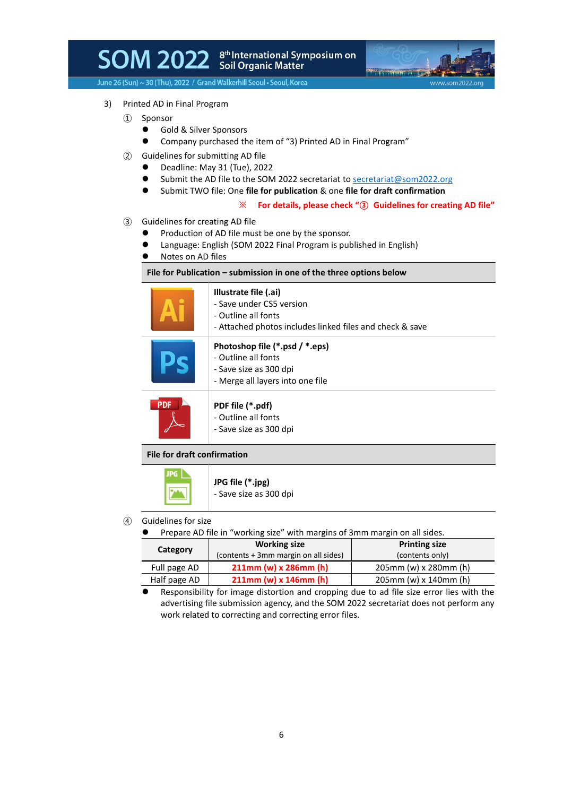## SOM 2022 Scil Organic Matter



June 26 (Sun) ~ 30 (Thu), 2022 / Grand Walkerhill Seoul . Seoul, Korea

- 3) Printed AD in Final Program
	- ① Sponsor
		- Gold & Silver Sponsors
		- ⚫ Company purchased the item of "3) Printed AD in Final Program"
	- ② Guidelines for submitting AD file
		- Deadline: May 31 (Tue), 2022
		- Submit the AD file to the SOM 2022 secretariat t[o secretariat@som2022.org](mailto:secretariat@som2022.org)
		- ⚫ Submit TWO file: One **file for publication** & one **file for draft confirmation**

#### ※ **For details, please check "③ Guidelines for creating AD file"**

- ③ Guidelines for creating AD file
	- ⚫ Production of AD file must be one by the sponsor.
	- Language: English (SOM 2022 Final Program is published in English)
	- ⚫ Notes on AD files

#### **File for Publication – submission in one of the three options below**

|     | Illustrate file (.ai)<br>- Save under CS5 version<br>- Outline all fonts<br>- Attached photos includes linked files and check & save |
|-----|--------------------------------------------------------------------------------------------------------------------------------------|
|     | Photoshop file (*.psd / *.eps)<br>- Outline all fonts<br>- Save size as 300 dpi<br>- Merge all layers into one file                  |
| PDF | PDF file (*.pdf)<br>- Outline all fonts<br>- Save size as 300 dpi                                                                    |

#### **File for draft confirmation**



④ Guidelines for size

JPG |

● Prepare AD file in "working size" with margins of 3mm margin on all sides.

|              | <b>Working size</b>                  | <b>Printing size</b>     |  |
|--------------|--------------------------------------|--------------------------|--|
| Category     | (contents + 3mm margin on all sides) | (contents only)          |  |
| Full page AD | 211mm (w) x 286mm (h)                | 205mm (w) x 280mm (h)    |  |
| Half page AD | $211$ mm (w) x $146$ mm (h)          | $205$ mm (w) x 140mm (h) |  |

⚫ Responsibility for image distortion and cropping due to ad file size error lies with the advertising file submission agency, and the SOM 2022 secretariat does not perform any work related to correcting and correcting error files.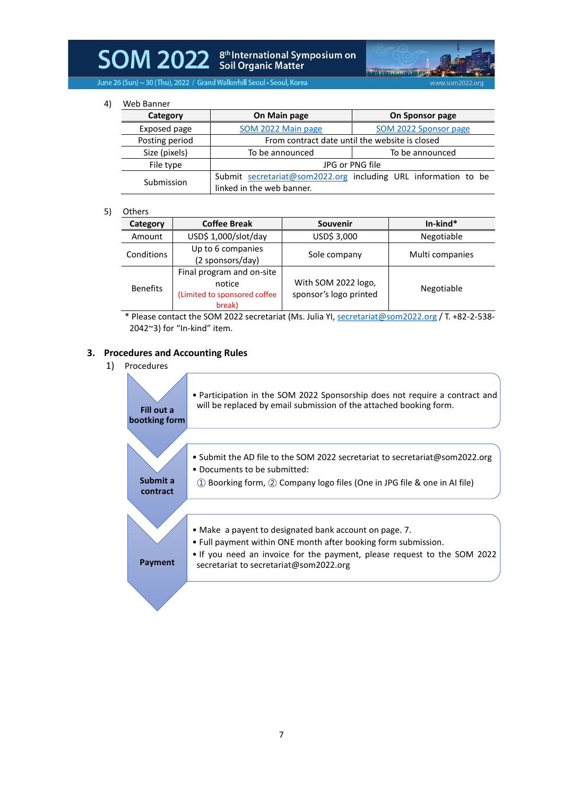# SOM 2022 Soil Organic Matter<br>of Matter



June 26 (Sun) ~ 30 (Thu), 2022 / Grand Walkerhill Seoul . Seoul, Korea

4) Web Banner

| VVCD DUITILI   |                                                |                                                                |  |
|----------------|------------------------------------------------|----------------------------------------------------------------|--|
| Category       | On Main page                                   | On Sponsor page                                                |  |
| Exposed page   | SOM 2022 Main page                             | SOM 2022 Sponsor page                                          |  |
| Posting period | From contract date until the website is closed |                                                                |  |
| Size (pixels)  | To be announced                                | To be announced                                                |  |
| File type      | JPG or PNG file                                |                                                                |  |
| Submission     |                                                | Submit secretariat@som2022.org including URL information to be |  |
|                | linked in the web banner.                      |                                                                |  |

#### 5) Others

| Category        | <b>Coffee Break</b>                                                           | Souvenir                                      | $In$ -kind*     |
|-----------------|-------------------------------------------------------------------------------|-----------------------------------------------|-----------------|
| Amount          | USD\$ 1,000/slot/day                                                          | USD\$ 3,000                                   | Negotiable      |
| Conditions      | Up to 6 companies<br>(2 sponsors/day)                                         | Sole company                                  | Multi companies |
| <b>Benefits</b> | Final program and on-site<br>notice<br>(Limited to sponsored coffee<br>break) | With SOM 2022 logo,<br>sponsor's logo printed | Negotiable      |

\* Please contact the SOM 2022 secretariat (Ms. Julia YI[, secretariat@som2022.org](mailto:secretariat@som2022.org) / T. +82-2-538- 2042~3) for "In-kind" item.

#### **3. Procedures and Accounting Rules**

## 1) Procedures

| Fill out a<br>bootking form | • Participation in the SOM 2022 Sponsorship does not require a contract and<br>will be replaced by email submission of the attached booking form.                                                                                              |
|-----------------------------|------------------------------------------------------------------------------------------------------------------------------------------------------------------------------------------------------------------------------------------------|
| Submit a<br>contract        | • Submit the AD file to the SOM 2022 secretariat to secretariat@som2022.org<br>• Documents to be submitted:<br>1) Boorking form, 2 Company logo files (One in JPG file & one in AI file)                                                       |
| Payment                     | • Make a payent to designated bank account on page. 7.<br>. Full payment within ONE month after booking form submission.<br>• If you need an invoice for the payment, please request to the SOM 2022<br>secretariat to secretariat@som2022.org |
|                             |                                                                                                                                                                                                                                                |